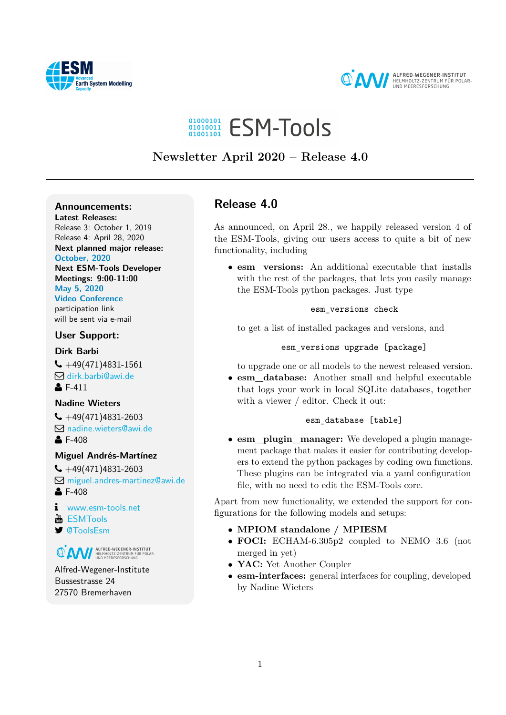



**ALFRED-WEGENER-INSTITUT**<br>HELMHOLTZ-ZENTRUM FÜR POLAR-<br>UND MEERESFORSCHUNG

# 01000101 ESM-Tools

# **Newsletter April 2020 – Release 4.0**

# **Announcements:**

**Latest Releases:** Release 3: October 1, 2019 Release 4: April 28, 2020 **Next planned major release: October, 2020 Next ESM-Tools Developer Meetings: 9:00-11:00 May 5, 2020**

**Video Conference** participation link will be sent via e-mail

**User Support:**

**Dirk Barbi**

 $\bigcup$  +49(471)4831-1561 Q [dirk.barbi@awi.de](mailto:dirk.barbi@awi.de?subject=ESM-Tools)  $E - 411$ 

# **Nadine Wieters**

 $\bigcup$  +49(471)4831-2603 Q [nadine.wieters@awi.de](mailto:nadine.wieters@awi.de?subject=ESM-Tools)  $-408$ 

# **Miguel Andrés-Martínez**

 $\bigcup$  +49(471)4831-2603 Q [miguel.andres-martinez@awi.de](mailto:miguel.andres-martinez@awi.de?subject=ESM-Tools)  $E - 408$ 

[www.esm-tools.net](https://www.esm-tools.net)

- **[ESMTools](https://www.youtube.com/channel/UCodIAojny0taxVbddSyCVJQ)**
- [@ToolsEsm](https://twitter.com/ToolsEsm)

**ON ALFRED-WEGENER-INSTITUT** 

Alfred-Wegener-Institute Bussestrasse 24 27570 Bremerhaven

# **Release 4.0**

As announced, on April 28., we happily released version 4 of the ESM-Tools, giving our users access to quite a bit of new functionality, including

• **esm\_versions:** An additional executable that installs with the rest of the packages, that lets you easily manage the ESM-Tools python packages. Just type

### esm\_versions check

to get a list of installed packages and versions, and

# esm\_versions upgrade [package]

to upgrade one or all models to the newest released version.

• **esm\_database:** Another small and helpful executable that logs your work in local SQLite databases, together with a viewer / editor. Check it out:

# esm\_database [table]

• **esm\_plugin\_manager:** We developed a plugin management package that makes it easier for contributing developers to extend the python packages by coding own functions. These plugins can be integrated via a yaml configuration file, with no need to edit the ESM-Tools core.

Apart from new functionality, we extended the support for configurations for the following models and setups:

- **MPIOM standalone / MPIESM**
- **FOCI:** ECHAM-6.305p2 coupled to NEMO 3.6 (not merged in yet)
- **YAC:** Yet Another Coupler
- **esm-interfaces:** general interfaces for coupling, developed by Nadine Wieters